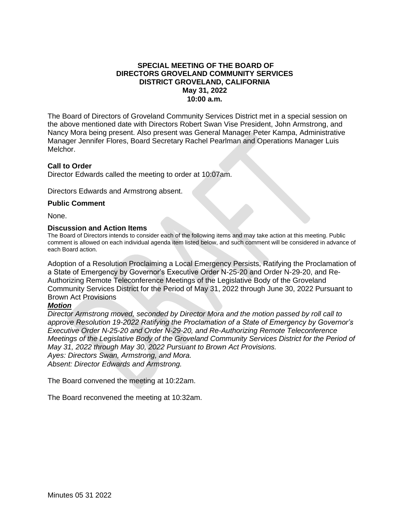### **SPECIAL MEETING OF THE BOARD OF DIRECTORS GROVELAND COMMUNITY SERVICES DISTRICT GROVELAND, CALIFORNIA May 31, 2022 10:00 a.m.**

The Board of Directors of Groveland Community Services District met in a special session on the above mentioned date with Directors Robert Swan Vise President, John Armstrong, and Nancy Mora being present. Also present was General Manager Peter Kampa, Administrative Manager Jennifer Flores, Board Secretary Rachel Pearlman and Operations Manager Luis Melchor.

#### **Call to Order**

Director Edwards called the meeting to order at 10:07am.

Directors Edwards and Armstrong absent.

#### **Public Comment**

None.

#### **Discussion and Action Items**

The Board of Directors intends to consider each of the following items and may take action at this meeting. Public comment is allowed on each individual agenda item listed below, and such comment will be considered in advance of each Board action.

Adoption of a Resolution Proclaiming a Local Emergency Persists, Ratifying the Proclamation of a State of Emergency by Governor's Executive Order N-25-20 and Order N-29-20, and Re-Authorizing Remote Teleconference Meetings of the Legislative Body of the Groveland Community Services District for the Period of May 31, 2022 through June 30, 2022 Pursuant to Brown Act Provisions

#### *Motion*

*Director Armstrong moved, seconded by Director Mora and the motion passed by roll call to approve Resolution 19-2022 Ratifying the Proclamation of a State of Emergency by Governor's Executive Order N-25-20 and Order N-29-20, and Re-Authorizing Remote Teleconference Meetings of the Legislative Body of the Groveland Community Services District for the Period of May 31, 2022 through May 30, 2022 Pursuant to Brown Act Provisions. Ayes: Directors Swan, Armstrong, and Mora.*

*Absent: Director Edwards and Armstrong.*

The Board convened the meeting at 10:22am.

The Board reconvened the meeting at 10:32am.